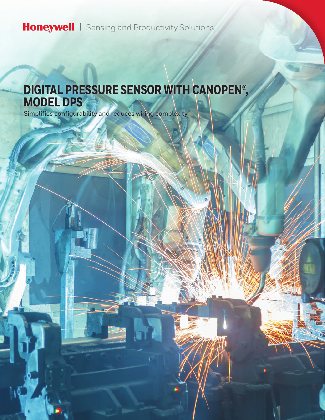Honeywell | Sensing and Productivity Solutions

# **DIGITAL PRESSURE SENSOR WITH CANOPEN®, MODEL DPS**

Simplifies configurability and reduces wiring complexity.